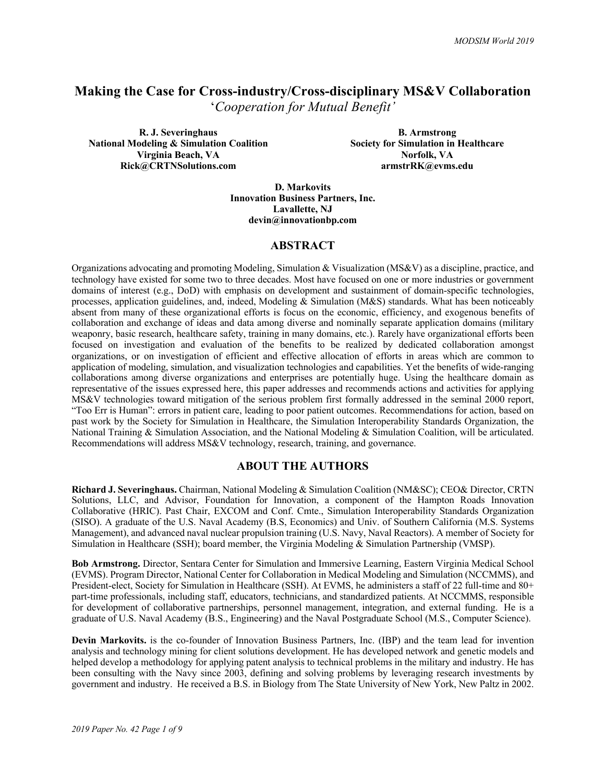# **Making the Case for Cross-industry/Cross-disciplinary MS&V Collaboration**

'*Cooperation for Mutual Benefit'*

**R. J. Severinghaus National Modeling & Simulation Coalition Virginia Beach, VA Rick@CRTNSolutions.com**

**B. Armstrong Society for Simulation in Healthcare Norfolk, VA armstrRK@evms.edu**

**D. Markovits Innovation Business Partners, Inc. Lavallette, NJ devin@innovationbp.com**

## **ABSTRACT**

Organizations advocating and promoting Modeling, Simulation & Visualization (MS&V) as a discipline, practice, and technology have existed for some two to three decades. Most have focused on one or more industries or government domains of interest (e.g., DoD) with emphasis on development and sustainment of domain-specific technologies, processes, application guidelines, and, indeed, Modeling & Simulation (M&S) standards. What has been noticeably absent from many of these organizational efforts is focus on the economic, efficiency, and exogenous benefits of collaboration and exchange of ideas and data among diverse and nominally separate application domains (military weaponry, basic research, healthcare safety, training in many domains, etc.). Rarely have organizational efforts been focused on investigation and evaluation of the benefits to be realized by dedicated collaboration amongst organizations, or on investigation of efficient and effective allocation of efforts in areas which are common to application of modeling, simulation, and visualization technologies and capabilities. Yet the benefits of wide-ranging collaborations among diverse organizations and enterprises are potentially huge. Using the healthcare domain as representative of the issues expressed here, this paper addresses and recommends actions and activities for applying MS&V technologies toward mitigation of the serious problem first formally addressed in the seminal 2000 report, "Too Err is Human": errors in patient care, leading to poor patient outcomes. Recommendations for action, based on past work by the Society for Simulation in Healthcare, the Simulation Interoperability Standards Organization, the National Training & Simulation Association, and the National Modeling & Simulation Coalition, will be articulated. Recommendations will address MS&V technology, research, training, and governance.

## **ABOUT THE AUTHORS**

**Richard J. Severinghaus.** Chairman, National Modeling & Simulation Coalition (NM&SC); CEO& Director, CRTN Solutions, LLC, and Advisor, Foundation for Innovation, a component of the Hampton Roads Innovation Collaborative (HRIC). Past Chair, EXCOM and Conf. Cmte., Simulation Interoperability Standards Organization (SISO). A graduate of the U.S. Naval Academy (B.S, Economics) and Univ. of Southern California (M.S. Systems Management), and advanced naval nuclear propulsion training (U.S. Navy, Naval Reactors). A member of Society for Simulation in Healthcare (SSH); board member, the Virginia Modeling & Simulation Partnership (VMSP).

**Bob Armstrong.** Director, Sentara Center for Simulation and Immersive Learning, Eastern Virginia Medical School (EVMS). Program Director, National Center for Collaboration in Medical Modeling and Simulation (NCCMMS), and President-elect, Society for Simulation in Healthcare (SSH). At EVMS, he administers a staff of 22 full-time and 80+ part-time professionals, including staff, educators, technicians, and standardized patients. At NCCMMS, responsible for development of collaborative partnerships, personnel management, integration, and external funding. He is a graduate of U.S. Naval Academy (B.S., Engineering) and the Naval Postgraduate School (M.S., Computer Science).

**Devin Markovits.** is the co-founder of Innovation Business Partners, Inc. (IBP) and the team lead for invention analysis and technology mining for client solutions development. He has developed network and genetic models and helped develop a methodology for applying patent analysis to technical problems in the military and industry. He has been consulting with the Navy since 2003, defining and solving problems by leveraging research investments by government and industry. He received a B.S. in Biology from The State University of New York, New Paltz in 2002.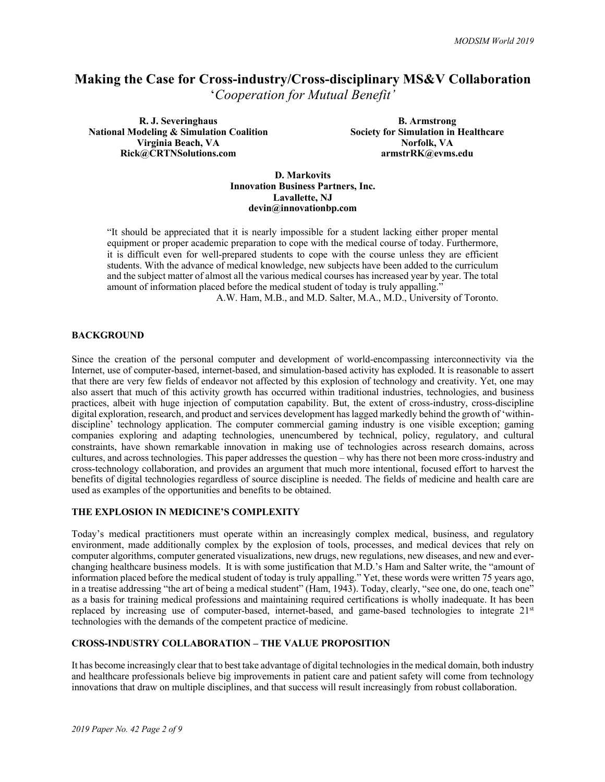## **Making the Case for Cross-industry/Cross-disciplinary MS&V Collaboration**

'*Cooperation for Mutual Benefit'*

**R. J. Severinghaus National Modeling & Simulation Coalition Virginia Beach, VA Rick@CRTNSolutions.com**

**B. Armstrong Society for Simulation in Healthcare Norfolk, VA armstrRK@evms.edu**

**D. Markovits Innovation Business Partners, Inc. Lavallette, NJ devin@innovationbp.com**

"It should be appreciated that it is nearly impossible for a student lacking either proper mental equipment or proper academic preparation to cope with the medical course of today. Furthermore, it is difficult even for well-prepared students to cope with the course unless they are efficient students. With the advance of medical knowledge, new subjects have been added to the curriculum and the subject matter of almost all the various medical courses has increased year by year. The total amount of information placed before the medical student of today is truly appalling.<sup>3</sup>

A.W. Ham, M.B., and M.D. Salter, M.A., M.D., University of Toronto.

#### **BACKGROUND**

Since the creation of the personal computer and development of world-encompassing interconnectivity via the Internet, use of computer-based, internet-based, and simulation-based activity has exploded. It is reasonable to assert that there are very few fields of endeavor not affected by this explosion of technology and creativity. Yet, one may also assert that much of this activity growth has occurred within traditional industries, technologies, and business practices, albeit with huge injection of computation capability. But, the extent of cross-industry, cross-discipline digital exploration, research, and product and services development has lagged markedly behind the growth of 'withindiscipline' technology application. The computer commercial gaming industry is one visible exception; gaming companies exploring and adapting technologies, unencumbered by technical, policy, regulatory, and cultural constraints, have shown remarkable innovation in making use of technologies across research domains, across cultures, and across technologies. This paper addresses the question – why has there not been more cross-industry and cross-technology collaboration, and provides an argument that much more intentional, focused effort to harvest the benefits of digital technologies regardless of source discipline is needed. The fields of medicine and health care are used as examples of the opportunities and benefits to be obtained.

#### **THE EXPLOSION IN MEDICINE'S COMPLEXITY**

Today's medical practitioners must operate within an increasingly complex medical, business, and regulatory environment, made additionally complex by the explosion of tools, processes, and medical devices that rely on computer algorithms, computer generated visualizations, new drugs, new regulations, new diseases, and new and everchanging healthcare business models. It is with some justification that M.D.'s Ham and Salter write, the "amount of information placed before the medical student of today is truly appalling." Yet, these words were written 75 years ago, in a treatise addressing "the art of being a medical student" (Ham, 1943). Today, clearly, "see one, do one, teach one" as a basis for training medical professions and maintaining required certifications is wholly inadequate. It has been replaced by increasing use of computer-based, internet-based, and game-based technologies to integrate 21st technologies with the demands of the competent practice of medicine.

#### **CROSS-INDUSTRY COLLABORATION – THE VALUE PROPOSITION**

It has become increasingly clear that to best take advantage of digital technologies in the medical domain, both industry and healthcare professionals believe big improvements in patient care and patient safety will come from technology innovations that draw on multiple disciplines, and that success will result increasingly from robust collaboration.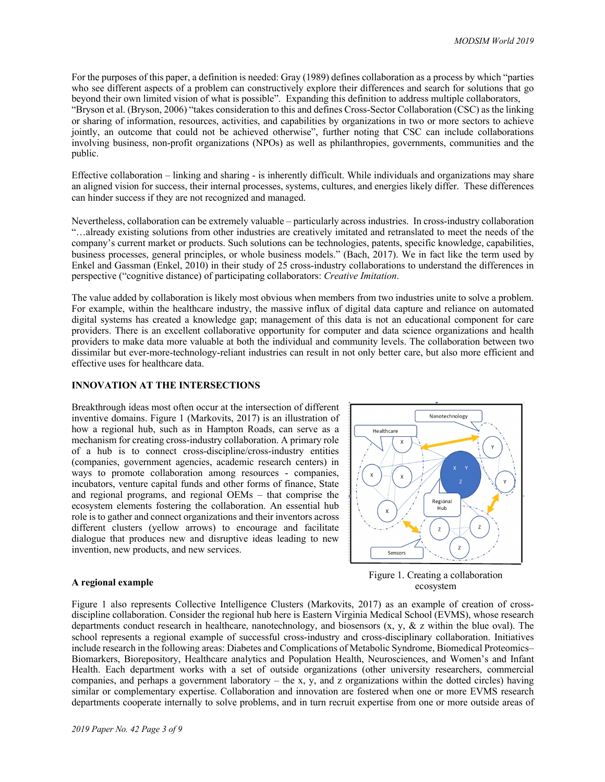For the purposes of this paper, a definition is needed: Gray (1989) defines collaboration as a process by which "parties who see different aspects of a problem can constructively explore their differences and search for solutions that go beyond their own limited vision of what is possible". Expanding this definition to address multiple collaborators, "Bryson et al. (Bryson, 2006) "takes consideration to this and defines Cross-Sector Collaboration (CSC) as the linking or sharing of information, resources, activities, and capabilities by organizations in two or more sectors to achieve jointly, an outcome that could not be achieved otherwise", further noting that CSC can include collaborations involving business, non-profit organizations (NPOs) as well as philanthropies, governments, communities and the public.

Effective collaboration – linking and sharing - is inherently difficult. While individuals and organizations may share an aligned vision for success, their internal processes, systems, cultures, and energies likely differ. These differences can hinder success if they are not recognized and managed.

Nevertheless, collaboration can be extremely valuable – particularly across industries. In cross-industry collaboration "…already existing solutions from other industries are creatively imitated and retranslated to meet the needs of the company's current market or products. Such solutions can be technologies, patents, specific knowledge, capabilities, business processes, general principles, or whole business models." (Bach, 2017). We in fact like the term used by Enkel and Gassman (Enkel, 2010) in their study of 25 cross-industry collaborations to understand the differences in perspective ("cognitive distance) of participating collaborators: *Creative Imitation*.

The value added by collaboration is likely most obvious when members from two industries unite to solve a problem. For example, within the healthcare industry, the massive influx of digital data capture and reliance on automated digital systems has created a knowledge gap; management of this data is not an educational component for care providers. There is an excellent collaborative opportunity for computer and data science organizations and health providers to make data more valuable at both the individual and community levels. The collaboration between two dissimilar but ever-more-technology-reliant industries can result in not only better care, but also more efficient and effective uses for healthcare data.

#### **INNOVATION AT THE INTERSECTIONS**

Breakthrough ideas most often occur at the intersection of different inventive domains. Figure 1 (Markovits, 2017) is an illustration of how a regional hub, such as in Hampton Roads, can serve as a mechanism for creating cross-industry collaboration. A primary role of a hub is to connect cross-discipline/cross-industry entities (companies, government agencies, academic research centers) in ways to promote collaboration among resources - companies, incubators, venture capital funds and other forms of finance, State and regional programs, and regional OEMs – that comprise the ecosystem elements fostering the collaboration. An essential hub role is to gather and connect organizations and their inventors across different clusters (yellow arrows) to encourage and facilitate dialogue that produces new and disruptive ideas leading to new invention, new products, and new services.



#### **A regional example**

Figure 1. Creating a collaboration ecosystem

Figure 1 also represents Collective Intelligence Clusters (Markovits, 2017) as an example of creation of crossdiscipline collaboration. Consider the regional hub here is Eastern Virginia Medical School (EVMS), whose research departments conduct research in healthcare, nanotechnology, and biosensors  $(x, y, \& z$  within the blue oval). The school represents a regional example of successful cross-industry and cross-disciplinary collaboration. Initiatives include research in the following areas: Diabetes and Complications of Metabolic Syndrome, Biomedical Proteomics– Biomarkers, Biorepository, Healthcare analytics and Population Health, Neurosciences, and Women's and Infant Health. Each department works with a set of outside organizations (other university researchers, commercial companies, and perhaps a government laboratory – the x, y, and z organizations within the dotted circles) having similar or complementary expertise. Collaboration and innovation are fostered when one or more EVMS research departments cooperate internally to solve problems, and in turn recruit expertise from one or more outside areas of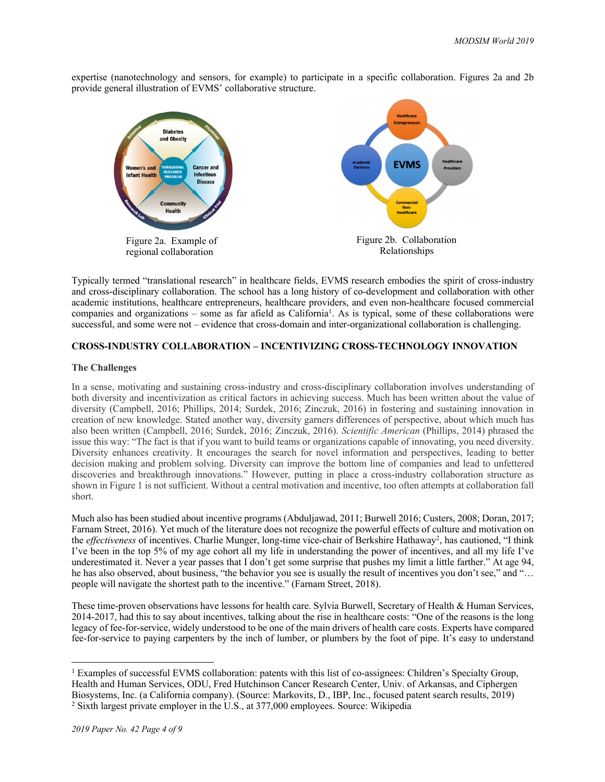expertise (nanotechnology and sensors, for example) to participate in a specific collaboration. Figures 2a and 2b provide general illustration of EVMS' collaborative structure.



Typically termed "translational research" in healthcare fields, EVMS research embodies the spirit of cross-industry and cross-disciplinary collaboration. The school has a long history of co-development and collaboration with other academic institutions, healthcare entrepreneurs, healthcare providers, and even non-healthcare focused commercial companies and organizations – some as far afield as California<sup>1</sup>. As is typical, some of these collaborations were successful, and some were not – evidence that cross-domain and inter-organizational collaboration is challenging.

#### **CROSS-INDUSTRY COLLABORATION – INCENTIVIZING CROSS-TECHNOLOGY INNOVATION**

#### **The Challenges**

In a sense, motivating and sustaining cross-industry and cross-disciplinary collaboration involves understanding of both diversity and incentivization as critical factors in achieving success. Much has been written about the value of diversity (Campbell, 2016; Phillips, 2014; Surdek, 2016; Zinczuk, 2016) in fostering and sustaining innovation in creation of new knowledge. Stated another way, diversity garners differences of perspective, about which much has also been written (Campbell, 2016; Surdek, 2016; Zinczuk, 2016). *Scientific American* (Phillips, 2014) phrased the issue this way: "The fact is that if you want to build teams or organizations capable of innovating, you need diversity. Diversity enhances creativity. It encourages the search for novel information and perspectives, leading to better decision making and problem solving. Diversity can improve the bottom line of companies and lead to unfettered discoveries and breakthrough innovations." However, putting in place a cross-industry collaboration structure as shown in Figure 1 is not sufficient. Without a central motivation and incentive, too often attempts at collaboration fall short.

Much also has been studied about incentive programs (Abduljawad, 2011; Burwell 2016; Custers, 2008; Doran, 2017; Farnam Street, 2016). Yet much of the literature does not recognize the powerful effects of culture and motivation on the *effectiveness* of incentives. Charlie Munger, long-time vice-chair of Berkshire Hathaway<sup>2</sup>, has cautioned, "I think I've been in the top 5% of my age cohort all my life in understanding the power of incentives, and all my life I've underestimated it. Never a year passes that I don't get some surprise that pushes my limit a little farther." At age 94, he has also observed, about business, "the behavior you see is usually the result of incentives you don't see," and "… people will navigate the shortest path to the incentive." (Farnam Street, 2018).

These time-proven observations have lessons for health care. Sylvia Burwell, Secretary of Health & Human Services, 2014-2017, had this to say about incentives, talking about the rise in healthcare costs: "One of the reasons is the long legacy of fee-for-service, widely understood to be one of the main drivers of health care costs. Experts have compared fee-for-service to paying carpenters by the inch of lumber, or plumbers by the foot of pipe. It's easy to understand

<sup>&</sup>lt;sup>1</sup> Examples of successful EVMS collaboration: patents with this list of co-assignees: Children's Specialty Group, Health and Human Services, ODU, Fred Hutchinson Cancer Research Center, Univ. of Arkansas, and Ciphergen Biosystems, Inc. (a California company). (Source: Markovits, D., IBP, Inc., focused patent search results, 2019) <sup>2</sup> Sixth largest private employer in the U.S., at 377,000 employees. Source: Wikipedia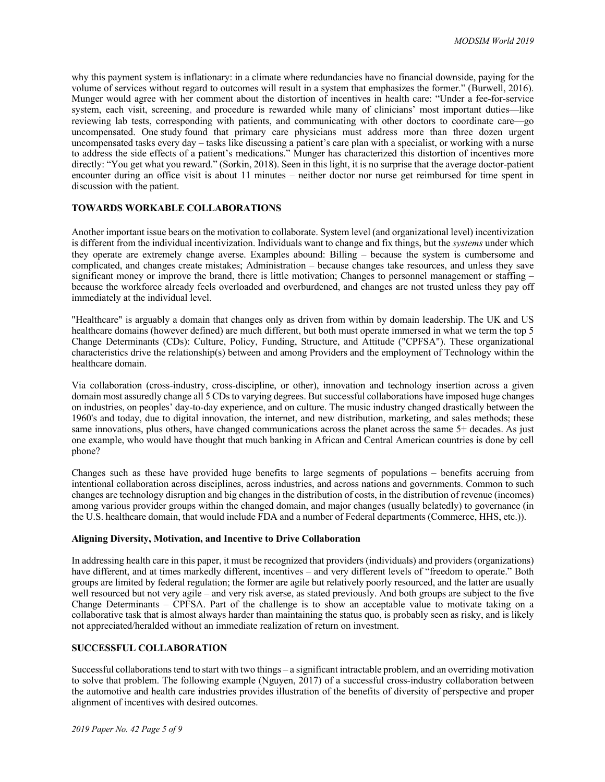why this payment system is inflationary: in a climate where redundancies have no financial downside, paying for the volume of services without regard to outcomes will result in a system that emphasizes the former." (Burwell, 2016). Munger would agree with her comment about the distortion of incentives in health care: "Under a fee-for-service system, each visit, screening, and procedure is rewarded while many of clinicians' most important duties—like reviewing lab tests, corresponding with patients, and communicating with other doctors to coordinate care—go uncompensated. One study found that primary care physicians must address more than three dozen urgent uncompensated tasks every day – tasks like discussing a patient's care plan with a specialist, or working with a nurse to address the side effects of a patient's medications." Munger has characterized this distortion of incentives more directly: "You get what you reward." (Sorkin, 2018). Seen in this light, it is no surprise that the average doctor-patient encounter during an office visit is about 11 minutes – neither doctor nor nurse get reimbursed for time spent in discussion with the patient.

## **TOWARDS WORKABLE COLLABORATIONS**

Another important issue bears on the motivation to collaborate. System level (and organizational level) incentivization is different from the individual incentivization. Individuals want to change and fix things, but the *systems* under which they operate are extremely change averse. Examples abound: Billing – because the system is cumbersome and complicated, and changes create mistakes; Administration – because changes take resources, and unless they save significant money or improve the brand, there is little motivation; Changes to personnel management or staffing – because the workforce already feels overloaded and overburdened, and changes are not trusted unless they pay off immediately at the individual level.

"Healthcare" is arguably a domain that changes only as driven from within by domain leadership. The UK and US healthcare domains (however defined) are much different, but both must operate immersed in what we term the top 5 Change Determinants (CDs): Culture, Policy, Funding, Structure, and Attitude ("CPFSA"). These organizational characteristics drive the relationship(s) between and among Providers and the employment of Technology within the healthcare domain.

Via collaboration (cross-industry, cross-discipline, or other), innovation and technology insertion across a given domain most assuredly change all 5 CDs to varying degrees. But successful collaborations have imposed huge changes on industries, on peoples' day-to-day experience, and on culture. The music industry changed drastically between the 1960's and today, due to digital innovation, the internet, and new distribution, marketing, and sales methods; these same innovations, plus others, have changed communications across the planet across the same 5+ decades. As just one example, who would have thought that much banking in African and Central American countries is done by cell phone?

Changes such as these have provided huge benefits to large segments of populations – benefits accruing from intentional collaboration across disciplines, across industries, and across nations and governments. Common to such changes are technology disruption and big changes in the distribution of costs, in the distribution of revenue (incomes) among various provider groups within the changed domain, and major changes (usually belatedly) to governance (in the U.S. healthcare domain, that would include FDA and a number of Federal departments (Commerce, HHS, etc.)).

#### **Aligning Diversity, Motivation, and Incentive to Drive Collaboration**

In addressing health care in this paper, it must be recognized that providers (individuals) and providers (organizations) have different, and at times markedly different, incentives – and very different levels of "freedom to operate." Both groups are limited by federal regulation; the former are agile but relatively poorly resourced, and the latter are usually well resourced but not very agile – and very risk averse, as stated previously. And both groups are subject to the five Change Determinants – CPFSA. Part of the challenge is to show an acceptable value to motivate taking on a collaborative task that is almost always harder than maintaining the status quo, is probably seen as risky, and is likely not appreciated/heralded without an immediate realization of return on investment.

#### **SUCCESSFUL COLLABORATION**

Successful collaborations tend to start with two things – a significant intractable problem, and an overriding motivation to solve that problem. The following example (Nguyen, 2017) of a successful cross-industry collaboration between the automotive and health care industries provides illustration of the benefits of diversity of perspective and proper alignment of incentives with desired outcomes.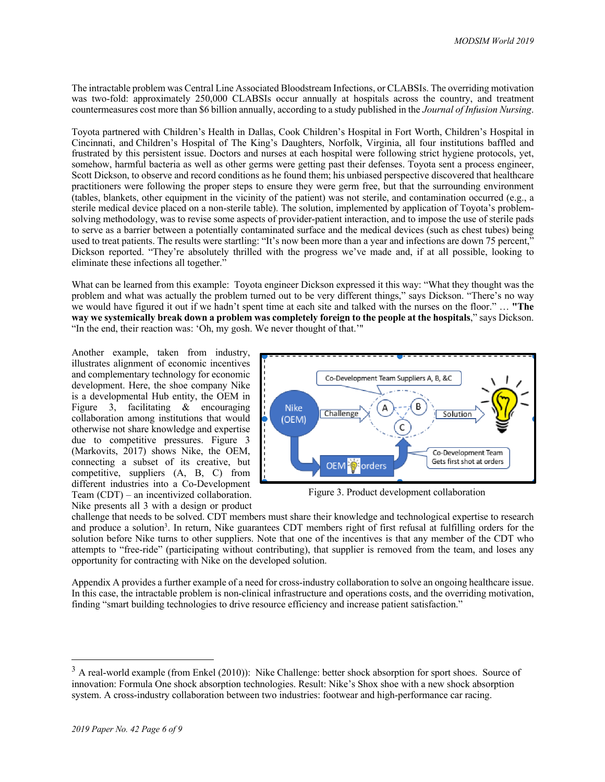The intractable problem was Central Line Associated Bloodstream Infections, or CLABSIs. The overriding motivation was two-fold: approximately 250,000 CLABSIs occur annually at hospitals across the country, and treatment countermeasures cost more than \$6 billion annually, according to a study published in the *Journal of Infusion Nursing*.

Toyota partnered with Children's Health in Dallas, Cook Children's Hospital in Fort Worth, Children's Hospital in Cincinnati, and Children's Hospital of The King's Daughters, Norfolk, Virginia, all four institutions baffled and frustrated by this persistent issue. Doctors and nurses at each hospital were following strict hygiene protocols, yet, somehow, harmful bacteria as well as other germs were getting past their defenses. Toyota sent a process engineer, Scott Dickson, to observe and record conditions as he found them; his unbiased perspective discovered that healthcare practitioners were following the proper steps to ensure they were germ free, but that the surrounding environment (tables, blankets, other equipment in the vicinity of the patient) was not sterile, and contamination occurred (e.g., a sterile medical device placed on a non-sterile table). The solution, implemented by application of Toyota's problemsolving methodology, was to revise some aspects of provider-patient interaction, and to impose the use of sterile pads to serve as a barrier between a potentially contaminated surface and the medical devices (such as chest tubes) being used to treat patients. The results were startling: "It's now been more than a year and infections are down 75 percent," Dickson reported. "They're absolutely thrilled with the progress we've made and, if at all possible, looking to eliminate these infections all together."

What can be learned from this example: Toyota engineer Dickson expressed it this way: "What they thought was the problem and what was actually the problem turned out to be very different things," says Dickson. "There's no way we would have figured it out if we hadn't spent time at each site and talked with the nurses on the floor." … **"The way we systemically break down a problem was completely foreign to the people at the hospitals**," says Dickson. "In the end, their reaction was: 'Oh, my gosh. We never thought of that.'"

Another example, taken from industry, illustrates alignment of economic incentives and complementary technology for economic development. Here, the shoe company Nike is a developmental Hub entity, the OEM in Figure 3, facilitating & encouraging collaboration among institutions that would otherwise not share knowledge and expertise due to competitive pressures. Figure 3 (Markovits, 2017) shows Nike, the OEM, connecting a subset of its creative, but competitive, suppliers (A, B, C) from different industries into a Co-Development Team (CDT) – an incentivized collaboration. Nike presents all 3 with a design or product



Figure 3. Product development collaboration

challenge that needs to be solved. CDT members must share their knowledge and technological expertise to research and produce a solution<sup>3</sup>. In return, Nike guarantees CDT members right of first refusal at fulfilling orders for the solution before Nike turns to other suppliers. Note that one of the incentives is that any member of the CDT who attempts to "free-ride" (participating without contributing), that supplier is removed from the team, and loses any opportunity for contracting with Nike on the developed solution.

Appendix A provides a further example of a need for cross-industry collaboration to solve an ongoing healthcare issue. In this case, the intractable problem is non-clinical infrastructure and operations costs, and the overriding motivation, finding "smart building technologies to drive resource efficiency and increase patient satisfaction."

<sup>&</sup>lt;sup>3</sup> A real-world example (from Enkel (2010)): Nike Challenge: better shock absorption for sport shoes. Source of innovation: Formula One shock absorption technologies. Result: Nike's Shox shoe with a new shock absorption system. A cross-industry collaboration between two industries: footwear and high-performance car racing.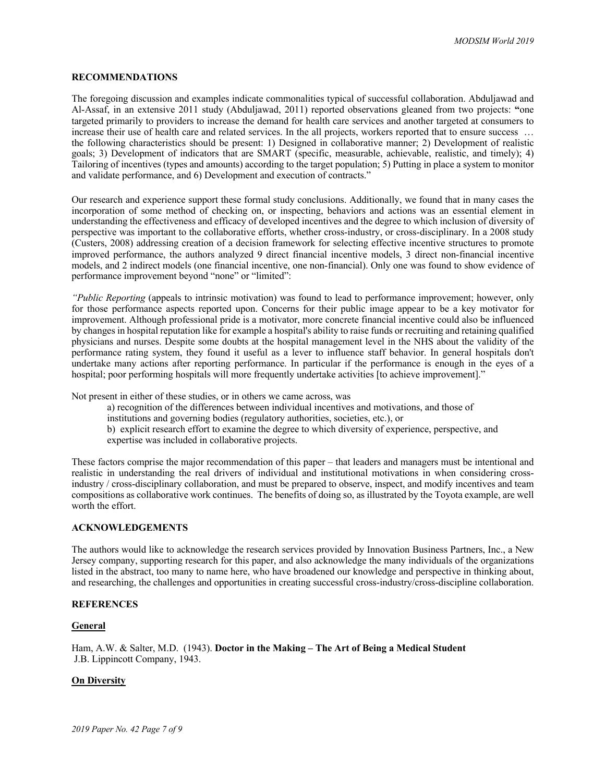#### **RECOMMENDATIONS**

The foregoing discussion and examples indicate commonalities typical of successful collaboration. Abduljawad and Al-Assaf, in an extensive 2011 study (Abduljawad, 2011) reported observations gleaned from two projects: **"**one targeted primarily to providers to increase the demand for health care services and another targeted at consumers to increase their use of health care and related services. In the all projects, workers reported that to ensure success ... the following characteristics should be present: 1) Designed in collaborative manner; 2) Development of realistic goals; 3) Development of indicators that are SMART (specific, measurable, achievable, realistic, and timely); 4) Tailoring of incentives (types and amounts) according to the target population; 5) Putting in place a system to monitor and validate performance, and 6) Development and execution of contracts."

Our research and experience support these formal study conclusions. Additionally, we found that in many cases the incorporation of some method of checking on, or inspecting, behaviors and actions was an essential element in understanding the effectiveness and efficacy of developed incentives and the degree to which inclusion of diversity of perspective was important to the collaborative efforts, whether cross-industry, or cross-disciplinary. In a 2008 study (Custers, 2008) addressing creation of a decision framework for selecting effective incentive structures to promote improved performance, the authors analyzed 9 direct financial incentive models, 3 direct non-financial incentive models, and 2 indirect models (one financial incentive, one non-financial). Only one was found to show evidence of performance improvement beyond "none" or "limited":

*"Public Reporting* (appeals to intrinsic motivation) was found to lead to performance improvement; however, only for those performance aspects reported upon. Concerns for their public image appear to be a key motivator for improvement. Although professional pride is a motivator, more concrete financial incentive could also be influenced by changes in hospital reputation like for example a hospital's ability to raise funds or recruiting and retaining qualified physicians and nurses. Despite some doubts at the hospital management level in the NHS about the validity of the performance rating system, they found it useful as a lever to influence staff behavior. In general hospitals don't undertake many actions after reporting performance. In particular if the performance is enough in the eyes of a hospital; poor performing hospitals will more frequently undertake activities [to achieve improvement]."

Not present in either of these studies, or in others we came across, was

- a) recognition of the differences between individual incentives and motivations, and those of
- institutions and governing bodies (regulatory authorities, societies, etc.), or
- b) explicit research effort to examine the degree to which diversity of experience, perspective, and expertise was included in collaborative projects.

These factors comprise the major recommendation of this paper – that leaders and managers must be intentional and realistic in understanding the real drivers of individual and institutional motivations in when considering crossindustry / cross-disciplinary collaboration, and must be prepared to observe, inspect, and modify incentives and team compositions as collaborative work continues. The benefits of doing so, as illustrated by the Toyota example, are well worth the effort.

#### **ACKNOWLEDGEMENTS**

The authors would like to acknowledge the research services provided by Innovation Business Partners, Inc., a New Jersey company, supporting research for this paper, and also acknowledge the many individuals of the organizations listed in the abstract, too many to name here, who have broadened our knowledge and perspective in thinking about, and researching, the challenges and opportunities in creating successful cross-industry/cross-discipline collaboration.

#### **REFERENCES**

#### **General**

Ham, A.W. & Salter, M.D. (1943). **Doctor in the Making – The Art of Being a Medical Student** J.B. Lippincott Company, 1943.

#### **On Diversity**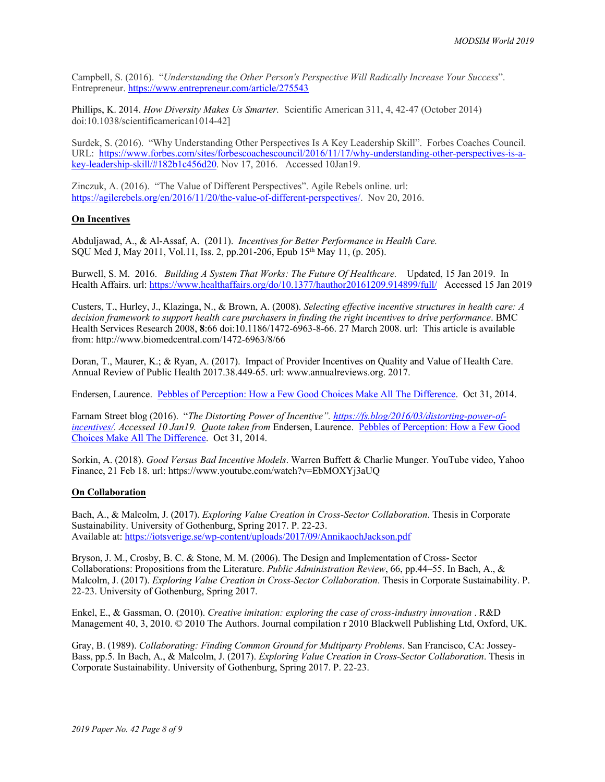Campbell, S. (2016). "*Understanding the Other Person's Perspective Will Radically Increase Your Success*". Entrepreneur. https://www.entrepreneur.com/article/275543

Phillips, K. 2014. *How Diversity Makes Us Smarter.* Scientific American 311, 4, 42-47 (October 2014) doi:10.1038/scientificamerican1014-42]

Surdek, S. (2016). "Why Understanding Other Perspectives Is A Key Leadership Skill". Forbes Coaches Council. URL: https://www.forbes.com/sites/forbescoachescouncil/2016/11/17/why-understanding-other-perspectives-is-akey-leadership-skill/#182b1c456d20. Nov 17, 2016. Accessed 10Jan19.

Zinczuk, A. (2016). "The Value of Different Perspectives". Agile Rebels online. url: https://agilerebels.org/en/2016/11/20/the-value-of-different-perspectives/. Nov 20, 2016.

#### **On Incentives**

Abduljawad, A., & Al-Assaf, A. (2011). *Incentives for Better Performance in Health Care.* SQU Med J, May 2011, Vol.11, Iss. 2, pp.201-206, Epub 15th May 11, (p. 205).

Burwell, S. M. 2016. *Building A System That Works: The Future Of Healthcare.* Updated, 15 Jan 2019. In Health Affairs. url: https://www.healthaffairs.org/do/10.1377/hauthor20161209.914899/full/ Accessed 15 Jan 2019

Custers, T., Hurley, J., Klazinga, N., & Brown, A. (2008). *Selecting effective incentive structures in health care: A decision framework to support health care purchasers in finding the right incentives to drive performance*. BMC Health Services Research 2008, **8**:66 doi:10.1186/1472-6963-8-66. 27 March 2008. url: This article is available from: http://www.biomedcentral.com/1472-6963/8/66

Doran, T., Maurer, K.; & Ryan, A. (2017). Impact of Provider Incentives on Quality and Value of Health Care. Annual Review of Public Health 2017.38.449-65. url: www.annualreviews.org. 2017.

Endersen, Laurence. Pebbles of Perception: How a Few Good Choices Make All The Difference. Oct 31, 2014.

Farnam Street blog (2016). "*The Distorting Power of Incentive". https://fs.blog/2016/03/distorting-power-ofincentives/. Accessed 10 Jan19. Quote taken from* Endersen, Laurence. Pebbles of Perception: How a Few Good Choices Make All The Difference. Oct 31, 2014.

Sorkin, A. (2018). *Good Versus Bad Incentive Models*. Warren Buffett & Charlie Munger. YouTube video, Yahoo Finance, 21 Feb 18. url: https://www.youtube.com/watch?v=EbMOXYj3aUQ

#### **On Collaboration**

Bach, A., & Malcolm, J. (2017). *Exploring Value Creation in Cross-Sector Collaboration*. Thesis in Corporate Sustainability. University of Gothenburg, Spring 2017. P. 22-23. Available at: https://iotsverige.se/wp-content/uploads/2017/09/AnnikaochJackson.pdf

Bryson, J. M., Crosby, B. C. & Stone, M. M. (2006). The Design and Implementation of Cross- Sector Collaborations: Propositions from the Literature. *Public Administration Review*, 66, pp.44–55. In Bach, A., & Malcolm, J. (2017). *Exploring Value Creation in Cross-Sector Collaboration*. Thesis in Corporate Sustainability. P. 22-23. University of Gothenburg, Spring 2017.

Enkel, E., & Gassman, O. (2010). *Creative imitation: exploring the case of cross-industry innovation* . R&D Management 40, 3, 2010. © 2010 The Authors. Journal compilation r 2010 Blackwell Publishing Ltd, Oxford, UK.

Gray, B. (1989). *Collaborating: Finding Common Ground for Multiparty Problems*. San Francisco, CA: Jossey-Bass, pp.5. In Bach, A., & Malcolm, J. (2017). *Exploring Value Creation in Cross-Sector Collaboration*. Thesis in Corporate Sustainability. University of Gothenburg, Spring 2017. P. 22-23.